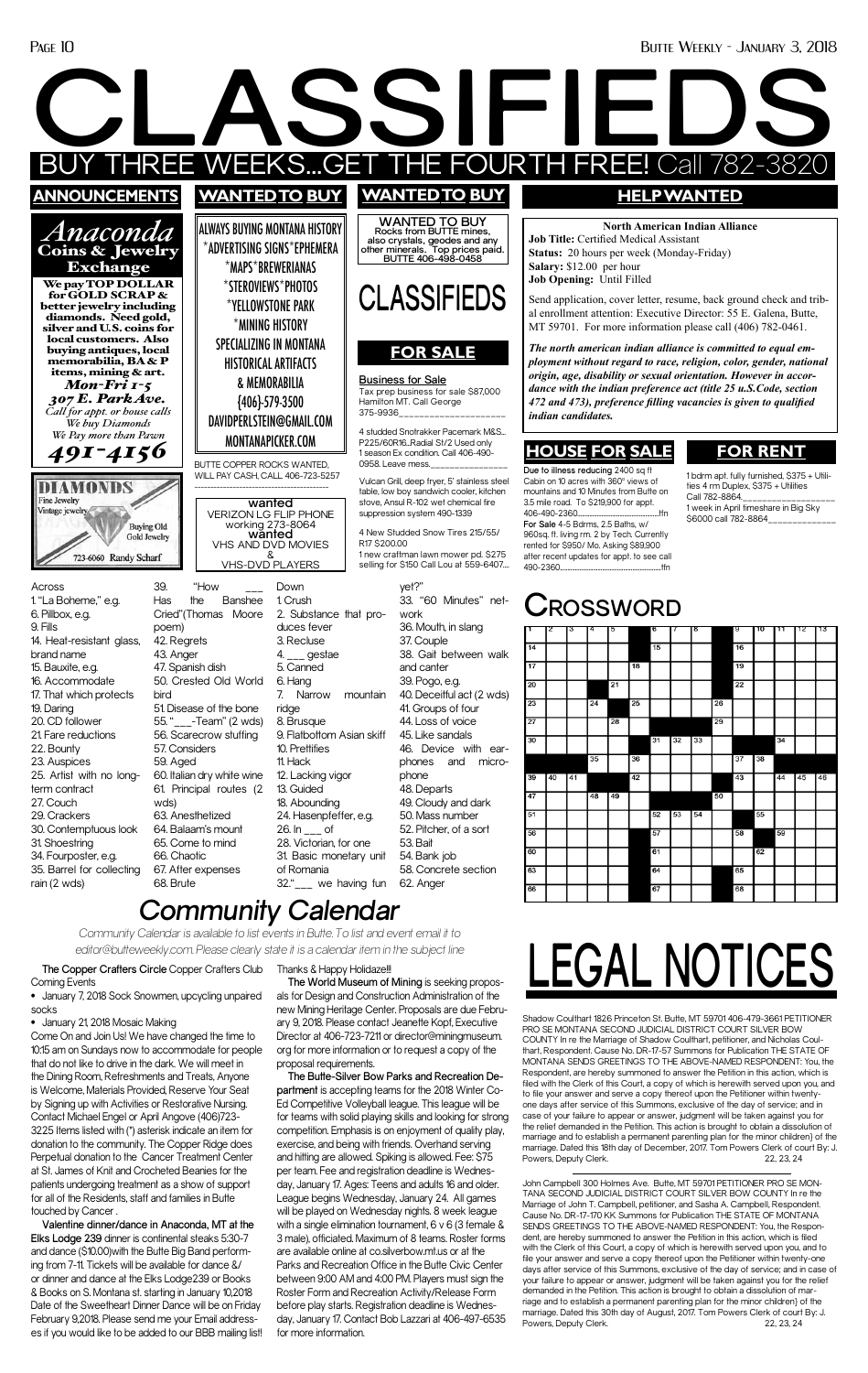

• January 21, 2018 Mosaic Making Come On and Join Us! We have changed the time to 10:15 am on Sundays now to accommodate for people that do not like to drive in the dark. We will meet in the Dining Room, Refreshments and Treats, Anyone is Welcome, Materials Provided, Reserve Your Seat by Signing up with Activities or Restorative Nursing. Contact Michael Engel or April Angove (406)723- 3225 Items listed with (\*) asterisk indicate an item for donation to the community. The Copper Ridge does Perpetual donation to the Cancer Treatment Center at St. James of Knit and Crocheted Beanies for the patients undergoing treatment as a show of support for all of the Residents, staff and families in Butte touched by Cancer .

## *Community Calendar*

*Community Calendar is available to list events in Butte. To list and event email it to editor@butteweekly.com. Please clearly state it is a calendar item in the subject line*

> Shadow Coulthart 1826 Princeton St. Butte, MT 59701 406-479-3661 PETITIONER PRO SE MONTANA SECOND JUDICIAL DISTRICT COURT SILVER BOW COUNTY In re the Marriage of Shadow Coulthart, petitioner, and Nicholas Coulthart, Respondent. Cause No. DR-17-57 Summons for Publication THE STATE OF MONTANA SENDS GREETINGS TO THE ABOVE-NAMED RESPONDENT: You, the Respondent, are hereby summoned to answer the Petition in this action, which is filed with the Clerk of this Court, a copy of which is herewith served upon you, and to file your answer and serve a copy thereof upon the Petitioner within twentyone days after service of this Summons, exclusive of the day of service; and in case of your failure to appear or answer, judgment will be taken against you for the relief demanded in the Petition. This action is brought to obtain a dissolution of marriage and to establish a permanent parenting plan for the minor children} of the marriage. Dated this 18th day of December, 2017. Tom Powers Clerk of court By: J. Powers, Deputy Clerk. 22, 23, 24

> John Campbell 300 Holmes Ave. Butte, MT 59701 PETITIONER PRO SE MON-TANA SECOND JUDICIAL DISTRICT COURT SILVER BOW COUNTY In re the Marriage of John T. Campbell, petitioner, and Sasha A. Campbell, Respondent. Cause No. DR-17-170 KK Summons for Publication THE STATE OF MONTANA SENDS GREETINGS TO THE ABOVE-NAMED RESPONDENT: You, the Respondent, are hereby summoned to answer the Petition in this action, which is filed with the Clerk of this Court, a copy of which is herewith served upon you, and to file your answer and serve a copy thereof upon the Petitioner within twenty-one days after service of this Summons, exclusive of the day of service; and in case of your failure to appear or answer, judgment will be taken against you for the relief demanded in the Petition. This action is brought to obtain a dissolution of marriage and to establish a permanent parenting plan for the minor children} of the marriage. Dated this 30th day of August, 2017. Tom Powers Clerk of court By: J. Powers, Deputy Clerk. 22, 23, 24

**The Copper Crafters Circle** Copper Crafters Club Coming Events

• January 7, 2018 Sock Snowmen, upcycling unpaired

socks

**Valentine dinner/dance in Anaconda, MT at the Elks Lodge 239** dinner is continental steaks 5:30-7 and dance (\$10.00)with the Butte Big Band performing from 7-11. Tickets will be available for dance &/ or dinner and dance at the Elks Lodge239 or Books & Books on S. Montana st. starting in January 10,2018 Date of the Sweetheart Dinner Dance will be on Friday February 9,2018. Please send me your Email addresses if you would like to be added to our BBB mailing list! Thanks & Happy Holidaze!!! **The World Museum of Mining** is seeking proposals for Design and Construction Administration of the new Mining Heritage Center. Proposals are due February 9, 2018. Please contact Jeanette Kopf, Executive Director at 406-723-7211 or director@miningmuseum. org for more information or to request a copy of the proposal requirements. **The Butte-Silver Bow Parks and Recreation Department** is accepting teams for the 2018 Winter Co-Ed Competitive Volleyball league. This league will be for teams with solid playing skills and looking for strong competition. Emphasis is on enjoyment of quality play, exercise, and being with friends. Overhand serving and hitting are allowed. Spiking is allowed. Fee: \$75 per team. Fee and registration deadline is Wednesday, January 17. Ages: Teens and adults 16 and older. League begins Wednesday, January 24. All games will be played on Wednesday nights. 8 week league with a single elimination tournament, 6 v 6 (3 female & 3 male), officiated. Maximum of 8 teams. Roster forms are available online at co.silverbow.mt.us or at the Parks and Recreation Office in the Butte Civic Center between 9:00 AM and 4:00 PM. Players must sign the Roster Form and Recreation Activity/Release Form before play starts. Registration deadline is Wednesday, January 17. Contact Bob Lazzari at 406-497-6535 for more information.

**LEGAL NOTICES**